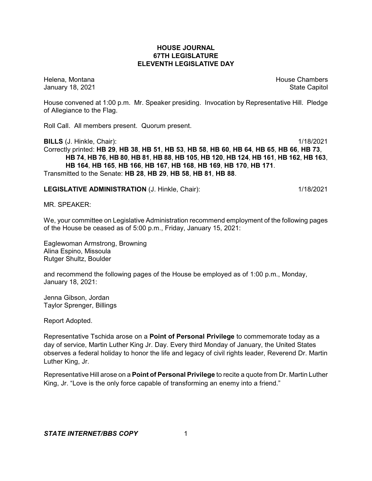#### **HOUSE JOURNAL 67TH LEGISLATURE ELEVENTH LEGISLATIVE DAY**

Helena, Montana **House Chambers** House Chambers **House Chambers** House Chambers **House Chambers** January 18, 2021 **State Capitol** 

House convened at 1:00 p.m. Mr. Speaker presiding. Invocation by Representative Hill. Pledge of Allegiance to the Flag.

Roll Call. All members present. Quorum present.

**BILLS** (J. Hinkle, Chair): 1/18/2021 Correctly printed: HB 29, HB 38, HB 51, HB 53, HB 58, HB 60, HB 64, HB 65, HB 66, HB 73, HB 74, HB 76, HB 80, HB 81, HB 88, HB 105, HB 120, HB 124, HB 161, HB 162, HB 163, **HB 164**, **HB 165**, **HB 166**, **HB 167**, **HB 168**, **HB 169**, **HB 170**, **HB 171**. Transmitted to the Senate: **HB 28**, **HB 29**, **HB 58**, **HB 81**, **HB 88**.

**LEGISLATIVE ADMINISTRATION** (J. Hinkle, Chair): 1/18/2021

MR. SPEAKER:

We, your committee on Legislative Administration recommend employment of the following pages of the House be ceased as of 5:00 p.m., Friday, January 15, 2021:

Eaglewoman Armstrong, Browning Alina Espino, Missoula Rutger Shultz, Boulder

and recommend the following pages of the House be employed as of 1:00 p.m., Monday, January 18, 2021:

Jenna Gibson, Jordan Taylor Sprenger, Billings

Report Adopted.

Representative Tschida arose on a **Point of Personal Privilege** to commemorate today as a day of service, Martin Luther King Jr. Day. Every third Monday of January, the United States observes a federal holiday to honor the life and legacy of civil rights leader, Reverend Dr. Martin Luther King, Jr.

Representative Hill arose on a **Point of Personal Privilege** to recite a quote from Dr. Martin Luther King, Jr. "Love is the only force capable of transforming an enemy into a friend."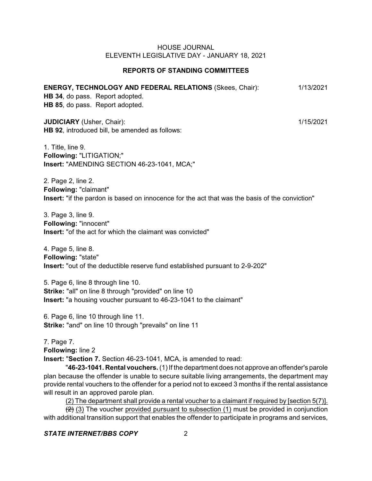## **REPORTS OF STANDING COMMITTEES**

# **ENERGY, TECHNOLOGY AND FEDERAL RELATIONS** (Skees, Chair): 1/13/2021

**HB 34**, do pass. Report adopted. **HB 85**, do pass. Report adopted.

**JUDICIARY** (Usher, Chair): 1/15/2021 **HB 92**, introduced bill, be amended as follows:

1. Title, line 9. **Following:** "LITIGATION;" **Insert:** "AMENDING SECTION 46-23-1041, MCA;"

2. Page 2, line 2. **Following:** "claimant" **Insert:** "if the pardon is based on innocence for the act that was the basis of the conviction"

3. Page 3, line 9. **Following:** "innocent" **Insert:** "of the act for which the claimant was convicted"

4. Page 5, line 8. **Following:** "state" **Insert:** "out of the deductible reserve fund established pursuant to 2-9-202"

5. Page 6, line 8 through line 10. **Strike:** "all" on line 8 through "provided" on line 10 **Insert:** "a housing voucher pursuant to 46-23-1041 to the claimant"

6. Page 6, line 10 through line 11. **Strike:** "and" on line 10 through "prevails" on line 11

7. Page 7. **Following:** line 2 **Insert:** "**Section 7.** Section 46-23-1041, MCA, is amended to read:

"**46-23-1041. Rental vouchers.** (1) If the department does not approve an offender's parole plan because the offender is unable to secure suitable living arrangements, the department may provide rental vouchers to the offender for a period not to exceed 3 months if the rental assistance will result in an approved parole plan.

(2) The department shall provide a rental voucher to a claimant if required by [section 5(7)].

 $\left(\frac{1}{2}\right)$  (3) The voucher provided pursuant to subsection (1) must be provided in conjunction with additional transition support that enables the offender to participate in programs and services,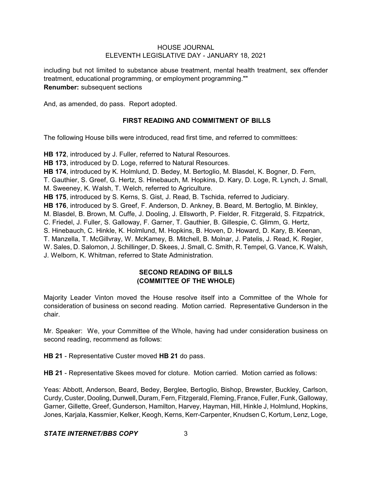including but not limited to substance abuse treatment, mental health treatment, sex offender treatment, educational programming, or employment programming."" **Renumber:** subsequent sections

And, as amended, do pass. Report adopted.

# **FIRST READING AND COMMITMENT OF BILLS**

The following House bills were introduced, read first time, and referred to committees:

**HB 172**, introduced by J. Fuller, referred to Natural Resources. **HB 173**, introduced by D. Loge, referred to Natural Resources. **HB 174**, introduced by K. Holmlund, D. Bedey, M. Bertoglio, M. Blasdel, K. Bogner, D. Fern, T. Gauthier, S. Greef, G. Hertz, S. Hinebauch, M. Hopkins, D. Kary, D. Loge, R. Lynch, J. Small, M. Sweeney, K. Walsh, T. Welch, referred to Agriculture. **HB 175**, introduced by S. Kerns, S. Gist, J. Read, B. Tschida, referred to Judiciary. **HB 176**, introduced by S. Greef, F. Anderson, D. Ankney, B. Beard, M. Bertoglio, M. Binkley, M. Blasdel, B. Brown, M. Cuffe, J. Dooling, J. Ellsworth, P. Fielder, R. Fitzgerald, S. Fitzpatrick, C. Friedel, J. Fuller, S. Galloway, F. Garner, T. Gauthier, B. Gillespie, C. Glimm, G. Hertz, S. Hinebauch, C. Hinkle, K. Holmlund, M. Hopkins, B. Hoven, D. Howard, D. Kary, B. Keenan, T. Manzella, T. McGillvray, W. McKamey, B. Mitchell, B. Molnar, J. Patelis, J. Read, K. Regier, W. Sales, D. Salomon, J. Schillinger, D. Skees, J. Small, C. Smith, R. Tempel, G. Vance, K. Walsh, J. Welborn, K. Whitman, referred to State Administration.

# **SECOND READING OF BILLS (COMMITTEE OF THE WHOLE)**

Majority Leader Vinton moved the House resolve itself into a Committee of the Whole for consideration of business on second reading. Motion carried. Representative Gunderson in the chair.

Mr. Speaker: We, your Committee of the Whole, having had under consideration business on second reading, recommend as follows:

**HB 21** - Representative Custer moved **HB 21** do pass.

**HB 21** - Representative Skees moved for cloture. Motion carried. Motion carried as follows:

Yeas: Abbott, Anderson, Beard, Bedey, Berglee, Bertoglio, Bishop, Brewster, Buckley, Carlson, Curdy, Custer, Dooling, Dunwell, Duram, Fern, Fitzgerald, Fleming, France, Fuller, Funk, Galloway, Garner, Gillette, Greef, Gunderson, Hamilton, Harvey, Hayman, Hill, Hinkle J, Holmlund, Hopkins, Jones, Karjala, Kassmier, Kelker, Keogh, Kerns, Kerr-Carpenter, Knudsen C, Kortum, Lenz, Loge,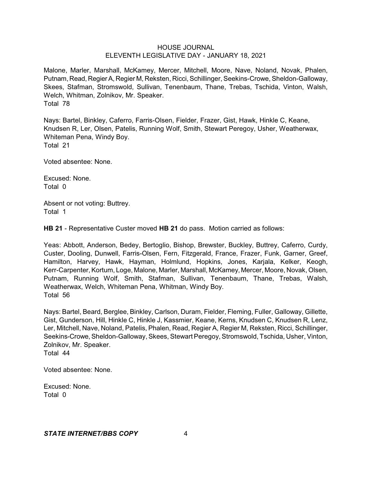Malone, Marler, Marshall, McKamey, Mercer, Mitchell, Moore, Nave, Noland, Novak, Phalen, Putnam, Read, RegierA, Regier M, Reksten, Ricci, Schillinger, Seekins-Crowe, Sheldon-Galloway, Skees, Stafman, Stromswold, Sullivan, Tenenbaum, Thane, Trebas, Tschida, Vinton, Walsh, Welch, Whitman, Zolnikov, Mr. Speaker. Total 78

Nays: Bartel, Binkley, Caferro, Farris-Olsen, Fielder, Frazer, Gist, Hawk, Hinkle C, Keane, Knudsen R, Ler, Olsen, Patelis, Running Wolf, Smith, Stewart Peregoy, Usher, Weatherwax, Whiteman Pena, Windy Boy. Total 21

Voted absentee: None.

Excused: None. Total 0

Absent or not voting: Buttrey. Total 1

**HB 21** - Representative Custer moved **HB 21** do pass. Motion carried as follows:

Yeas: Abbott, Anderson, Bedey, Bertoglio, Bishop, Brewster, Buckley, Buttrey, Caferro, Curdy, Custer, Dooling, Dunwell, Farris-Olsen, Fern, Fitzgerald, France, Frazer, Funk, Garner, Greef, Hamilton, Harvey, Hawk, Hayman, Holmlund, Hopkins, Jones, Karjala, Kelker, Keogh, Kerr-Carpenter, Kortum, Loge, Malone, Marler, Marshall, McKamey, Mercer, Moore, Novak, Olsen, Putnam, Running Wolf, Smith, Stafman, Sullivan, Tenenbaum, Thane, Trebas, Walsh, Weatherwax, Welch, Whiteman Pena, Whitman, Windy Boy. Total 56

Nays: Bartel, Beard, Berglee, Binkley, Carlson, Duram, Fielder, Fleming, Fuller, Galloway, Gillette, Gist, Gunderson, Hill, Hinkle C, Hinkle J, Kassmier, Keane, Kerns, Knudsen C, Knudsen R, Lenz, Ler, Mitchell, Nave, Noland, Patelis, Phalen, Read, Regier A, Regier M, Reksten, Ricci, Schillinger, Seekins-Crowe, Sheldon-Galloway, Skees, Stewart Peregoy, Stromswold, Tschida, Usher, Vinton, Zolnikov, Mr. Speaker. Total 44

Voted absentee: None.

Excused: None. Total 0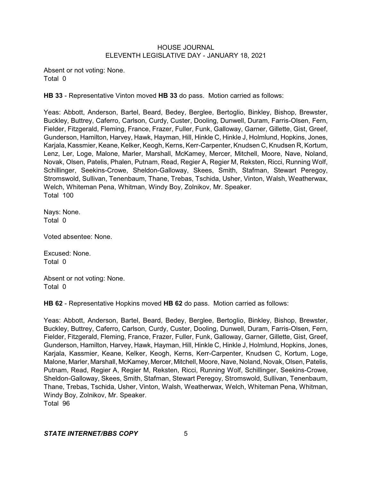Absent or not voting: None. Total 0

**HB 33** - Representative Vinton moved **HB 33** do pass. Motion carried as follows:

Yeas: Abbott, Anderson, Bartel, Beard, Bedey, Berglee, Bertoglio, Binkley, Bishop, Brewster, Buckley, Buttrey, Caferro, Carlson, Curdy, Custer, Dooling, Dunwell, Duram, Farris-Olsen, Fern, Fielder, Fitzgerald, Fleming, France, Frazer, Fuller, Funk, Galloway, Garner, Gillette, Gist, Greef, Gunderson, Hamilton, Harvey, Hawk, Hayman, Hill, Hinkle C, Hinkle J, Holmlund, Hopkins, Jones, Karjala, Kassmier, Keane, Kelker, Keogh, Kerns, Kerr-Carpenter, Knudsen C, Knudsen R, Kortum, Lenz, Ler, Loge, Malone, Marler, Marshall, McKamey, Mercer, Mitchell, Moore, Nave, Noland, Novak, Olsen, Patelis, Phalen, Putnam, Read, Regier A, Regier M, Reksten, Ricci, Running Wolf, Schillinger, Seekins-Crowe, Sheldon-Galloway, Skees, Smith, Stafman, Stewart Peregoy, Stromswold, Sullivan, Tenenbaum, Thane, Trebas, Tschida, Usher, Vinton, Walsh, Weatherwax, Welch, Whiteman Pena, Whitman, Windy Boy, Zolnikov, Mr. Speaker. Total 100

Nays: None. Total 0

Voted absentee: None.

Excused: None. Total 0

Absent or not voting: None. Total 0

**HB 62** - Representative Hopkins moved **HB 62** do pass. Motion carried as follows:

Yeas: Abbott, Anderson, Bartel, Beard, Bedey, Berglee, Bertoglio, Binkley, Bishop, Brewster, Buckley, Buttrey, Caferro, Carlson, Curdy, Custer, Dooling, Dunwell, Duram, Farris-Olsen, Fern, Fielder, Fitzgerald, Fleming, France, Frazer, Fuller, Funk, Galloway, Garner, Gillette, Gist, Greef, Gunderson, Hamilton, Harvey, Hawk, Hayman, Hill, Hinkle C, Hinkle J, Holmlund, Hopkins, Jones, Karjala, Kassmier, Keane, Kelker, Keogh, Kerns, Kerr-Carpenter, Knudsen C, Kortum, Loge, Malone, Marler, Marshall, McKamey, Mercer, Mitchell, Moore, Nave, Noland, Novak, Olsen, Patelis, Putnam, Read, Regier A, Regier M, Reksten, Ricci, Running Wolf, Schillinger, Seekins-Crowe, Sheldon-Galloway, Skees, Smith, Stafman, Stewart Peregoy, Stromswold, Sullivan, Tenenbaum, Thane, Trebas, Tschida, Usher, Vinton, Walsh, Weatherwax, Welch, Whiteman Pena, Whitman, Windy Boy, Zolnikov, Mr. Speaker. Total 96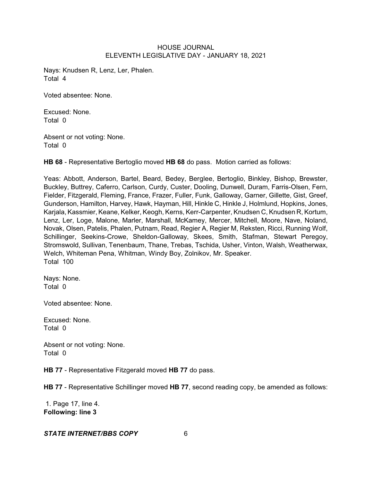Nays: Knudsen R, Lenz, Ler, Phalen. Total 4

Voted absentee: None.

Excused: None. Total 0

Absent or not voting: None. Total 0

**HB 68** - Representative Bertoglio moved **HB 68** do pass. Motion carried as follows:

Yeas: Abbott, Anderson, Bartel, Beard, Bedey, Berglee, Bertoglio, Binkley, Bishop, Brewster, Buckley, Buttrey, Caferro, Carlson, Curdy, Custer, Dooling, Dunwell, Duram, Farris-Olsen, Fern, Fielder, Fitzgerald, Fleming, France, Frazer, Fuller, Funk, Galloway, Garner, Gillette, Gist, Greef, Gunderson, Hamilton, Harvey, Hawk, Hayman, Hill, Hinkle C, Hinkle J, Holmlund, Hopkins, Jones, Karjala, Kassmier, Keane, Kelker, Keogh, Kerns, Kerr-Carpenter, Knudsen C, Knudsen R, Kortum, Lenz, Ler, Loge, Malone, Marler, Marshall, McKamey, Mercer, Mitchell, Moore, Nave, Noland, Novak, Olsen, Patelis, Phalen, Putnam, Read, Regier A, Regier M, Reksten, Ricci, Running Wolf, Schillinger, Seekins-Crowe, Sheldon-Galloway, Skees, Smith, Stafman, Stewart Peregoy, Stromswold, Sullivan, Tenenbaum, Thane, Trebas, Tschida, Usher, Vinton, Walsh, Weatherwax, Welch, Whiteman Pena, Whitman, Windy Boy, Zolnikov, Mr. Speaker. Total 100

Nays: None. Total 0

Voted absentee: None.

Excused: None. Total 0

Absent or not voting: None. Total 0

**HB 77** - Representative Fitzgerald moved **HB 77** do pass.

**HB 77** - Representative Schillinger moved **HB 77**, second reading copy, be amended as follows:

1. Page 17, line 4. **Following: line 3**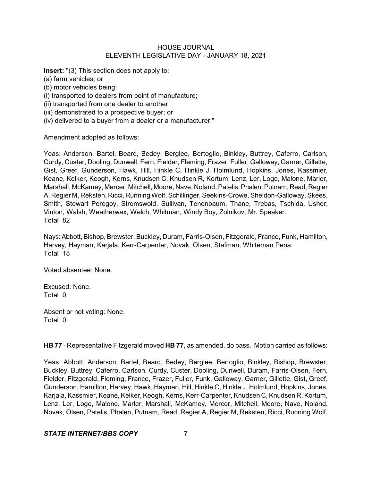**Insert:** "(3) This section does not apply to:

(a) farm vehicles; or

(b) motor vehicles being:

(i) transported to dealers from point of manufacture;

(ii) transported from one dealer to another;

(iii) demonstrated to a prospective buyer; or

(iv) delivered to a buyer from a dealer or a manufacturer."

Amendment adopted as follows:

Yeas: Anderson, Bartel, Beard, Bedey, Berglee, Bertoglio, Binkley, Buttrey, Caferro, Carlson, Curdy, Custer, Dooling, Dunwell, Fern, Fielder, Fleming, Frazer, Fuller, Galloway, Garner, Gillette, Gist, Greef, Gunderson, Hawk, Hill, Hinkle C, Hinkle J, Holmlund, Hopkins, Jones, Kassmier, Keane, Kelker, Keogh, Kerns, Knudsen C, Knudsen R, Kortum, Lenz, Ler, Loge, Malone, Marler, Marshall, McKamey, Mercer, Mitchell, Moore, Nave, Noland, Patelis, Phalen, Putnam, Read, Regier A, Regier M, Reksten, Ricci, Running Wolf, Schillinger, Seekins-Crowe, Sheldon-Galloway, Skees, Smith, Stewart Peregoy, Stromswold, Sullivan, Tenenbaum, Thane, Trebas, Tschida, Usher, Vinton, Walsh, Weatherwax, Welch, Whitman, Windy Boy, Zolnikov, Mr. Speaker. Total 82

Nays: Abbott, Bishop, Brewster, Buckley, Duram, Farris-Olsen, Fitzgerald, France, Funk, Hamilton, Harvey, Hayman, Karjala, Kerr-Carpenter, Novak, Olsen, Stafman, Whiteman Pena. Total 18

Voted absentee: None.

Excused: None. Total 0

Absent or not voting: None. Total 0

**HB 77** - Representative Fitzgerald moved **HB 77**, as amended, do pass. Motion carried as follows:

Yeas: Abbott, Anderson, Bartel, Beard, Bedey, Berglee, Bertoglio, Binkley, Bishop, Brewster, Buckley, Buttrey, Caferro, Carlson, Curdy, Custer, Dooling, Dunwell, Duram, Farris-Olsen, Fern, Fielder, Fitzgerald, Fleming, France, Frazer, Fuller, Funk, Galloway, Garner, Gillette, Gist, Greef, Gunderson, Hamilton, Harvey, Hawk, Hayman, Hill, Hinkle C, Hinkle J, Holmlund, Hopkins, Jones, Karjala, Kassmier, Keane, Kelker, Keogh, Kerns, Kerr-Carpenter, Knudsen C, Knudsen R, Kortum, Lenz, Ler, Loge, Malone, Marler, Marshall, McKamey, Mercer, Mitchell, Moore, Nave, Noland, Novak, Olsen, Patelis, Phalen, Putnam, Read, Regier A, Regier M, Reksten, Ricci, Running Wolf,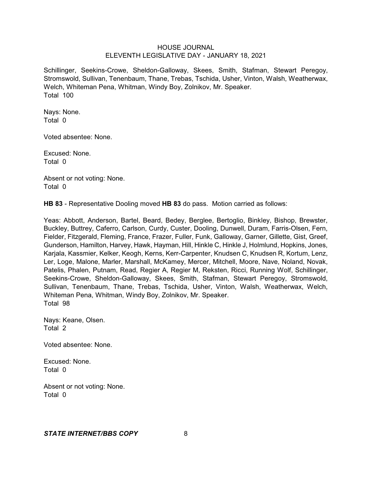Schillinger, Seekins-Crowe, Sheldon-Galloway, Skees, Smith, Stafman, Stewart Peregoy, Stromswold, Sullivan, Tenenbaum, Thane, Trebas, Tschida, Usher, Vinton, Walsh, Weatherwax, Welch, Whiteman Pena, Whitman, Windy Boy, Zolnikov, Mr. Speaker. Total 100

Nays: None. Total 0

Voted absentee: None.

Excused: None. Total 0

Absent or not voting: None. Total 0

**HB 83** - Representative Dooling moved **HB 83** do pass. Motion carried as follows:

Yeas: Abbott, Anderson, Bartel, Beard, Bedey, Berglee, Bertoglio, Binkley, Bishop, Brewster, Buckley, Buttrey, Caferro, Carlson, Curdy, Custer, Dooling, Dunwell, Duram, Farris-Olsen, Fern, Fielder, Fitzgerald, Fleming, France, Frazer, Fuller, Funk, Galloway, Garner, Gillette, Gist, Greef, Gunderson, Hamilton, Harvey, Hawk, Hayman, Hill, Hinkle C, Hinkle J, Holmlund, Hopkins, Jones, Karjala, Kassmier, Kelker, Keogh, Kerns, Kerr-Carpenter, Knudsen C, Knudsen R, Kortum, Lenz, Ler, Loge, Malone, Marler, Marshall, McKamey, Mercer, Mitchell, Moore, Nave, Noland, Novak, Patelis, Phalen, Putnam, Read, Regier A, Regier M, Reksten, Ricci, Running Wolf, Schillinger, Seekins-Crowe, Sheldon-Galloway, Skees, Smith, Stafman, Stewart Peregoy, Stromswold, Sullivan, Tenenbaum, Thane, Trebas, Tschida, Usher, Vinton, Walsh, Weatherwax, Welch, Whiteman Pena, Whitman, Windy Boy, Zolnikov, Mr. Speaker. Total 98

Nays: Keane, Olsen. Total 2

Voted absentee: None.

Excused: None. Total 0

Absent or not voting: None. Total 0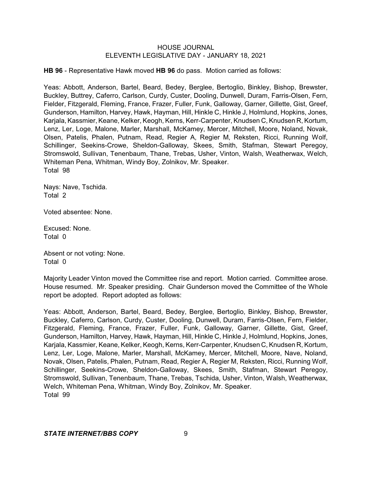**HB 96** - Representative Hawk moved **HB 96** do pass. Motion carried as follows:

Yeas: Abbott, Anderson, Bartel, Beard, Bedey, Berglee, Bertoglio, Binkley, Bishop, Brewster, Buckley, Buttrey, Caferro, Carlson, Curdy, Custer, Dooling, Dunwell, Duram, Farris-Olsen, Fern, Fielder, Fitzgerald, Fleming, France, Frazer, Fuller, Funk, Galloway, Garner, Gillette, Gist, Greef, Gunderson, Hamilton, Harvey, Hawk, Hayman, Hill, Hinkle C, Hinkle J, Holmlund, Hopkins, Jones, Karjala, Kassmier, Keane, Kelker, Keogh, Kerns, Kerr-Carpenter, Knudsen C, Knudsen R, Kortum, Lenz, Ler, Loge, Malone, Marler, Marshall, McKamey, Mercer, Mitchell, Moore, Noland, Novak, Olsen, Patelis, Phalen, Putnam, Read, Regier A, Regier M, Reksten, Ricci, Running Wolf, Schillinger, Seekins-Crowe, Sheldon-Galloway, Skees, Smith, Stafman, Stewart Peregoy, Stromswold, Sullivan, Tenenbaum, Thane, Trebas, Usher, Vinton, Walsh, Weatherwax, Welch, Whiteman Pena, Whitman, Windy Boy, Zolnikov, Mr. Speaker. Total 98

Nays: Nave, Tschida. Total 2

Voted absentee: None.

Excused: None. Total 0

Absent or not voting: None. Total 0

Majority Leader Vinton moved the Committee rise and report. Motion carried. Committee arose. House resumed. Mr. Speaker presiding. Chair Gunderson moved the Committee of the Whole report be adopted. Report adopted as follows:

Yeas: Abbott, Anderson, Bartel, Beard, Bedey, Berglee, Bertoglio, Binkley, Bishop, Brewster, Buckley, Caferro, Carlson, Curdy, Custer, Dooling, Dunwell, Duram, Farris-Olsen, Fern, Fielder, Fitzgerald, Fleming, France, Frazer, Fuller, Funk, Galloway, Garner, Gillette, Gist, Greef, Gunderson, Hamilton, Harvey, Hawk, Hayman, Hill, Hinkle C, Hinkle J, Holmlund, Hopkins, Jones, Karjala, Kassmier, Keane, Kelker, Keogh, Kerns, Kerr-Carpenter, Knudsen C, Knudsen R, Kortum, Lenz, Ler, Loge, Malone, Marler, Marshall, McKamey, Mercer, Mitchell, Moore, Nave, Noland, Novak, Olsen, Patelis, Phalen, Putnam, Read, Regier A, Regier M, Reksten, Ricci, Running Wolf, Schillinger, Seekins-Crowe, Sheldon-Galloway, Skees, Smith, Stafman, Stewart Peregoy, Stromswold, Sullivan, Tenenbaum, Thane, Trebas, Tschida, Usher, Vinton, Walsh, Weatherwax, Welch, Whiteman Pena, Whitman, Windy Boy, Zolnikov, Mr. Speaker. Total 99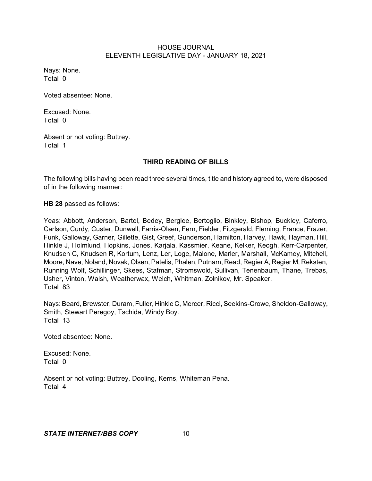Nays: None. Total 0

Voted absentee: None.

Excused: None. Total 0

Absent or not voting: Buttrey. Total 1

# **THIRD READING OF BILLS**

The following bills having been read three several times, title and history agreed to, were disposed of in the following manner:

**HB 28** passed as follows:

Yeas: Abbott, Anderson, Bartel, Bedey, Berglee, Bertoglio, Binkley, Bishop, Buckley, Caferro, Carlson, Curdy, Custer, Dunwell, Farris-Olsen, Fern, Fielder, Fitzgerald, Fleming, France, Frazer, Funk, Galloway, Garner, Gillette, Gist, Greef, Gunderson, Hamilton, Harvey, Hawk, Hayman, Hill, Hinkle J, Holmlund, Hopkins, Jones, Karjala, Kassmier, Keane, Kelker, Keogh, Kerr-Carpenter, Knudsen C, Knudsen R, Kortum, Lenz, Ler, Loge, Malone, Marler, Marshall, McKamey, Mitchell, Moore, Nave, Noland, Novak, Olsen, Patelis, Phalen, Putnam, Read, Regier A, Regier M, Reksten, Running Wolf, Schillinger, Skees, Stafman, Stromswold, Sullivan, Tenenbaum, Thane, Trebas, Usher, Vinton, Walsh, Weatherwax, Welch, Whitman, Zolnikov, Mr. Speaker. Total 83

Nays: Beard, Brewster, Duram, Fuller, Hinkle C, Mercer, Ricci, Seekins-Crowe, Sheldon-Galloway, Smith, Stewart Peregoy, Tschida, Windy Boy. Total 13

Voted absentee: None.

Excused: None. Total 0

Absent or not voting: Buttrey, Dooling, Kerns, Whiteman Pena. Total 4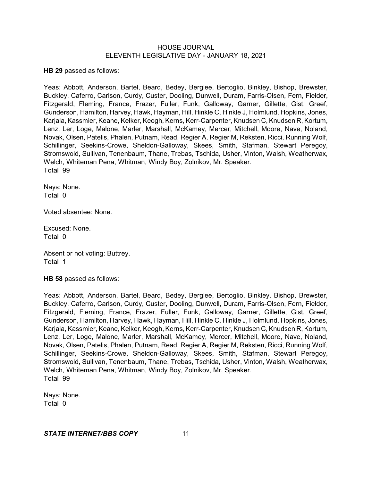**HB 29** passed as follows:

Yeas: Abbott, Anderson, Bartel, Beard, Bedey, Berglee, Bertoglio, Binkley, Bishop, Brewster, Buckley, Caferro, Carlson, Curdy, Custer, Dooling, Dunwell, Duram, Farris-Olsen, Fern, Fielder, Fitzgerald, Fleming, France, Frazer, Fuller, Funk, Galloway, Garner, Gillette, Gist, Greef, Gunderson, Hamilton, Harvey, Hawk, Hayman, Hill, Hinkle C, Hinkle J, Holmlund, Hopkins, Jones, Karjala, Kassmier, Keane, Kelker, Keogh, Kerns, Kerr-Carpenter, Knudsen C, Knudsen R, Kortum, Lenz, Ler, Loge, Malone, Marler, Marshall, McKamey, Mercer, Mitchell, Moore, Nave, Noland, Novak, Olsen, Patelis, Phalen, Putnam, Read, Regier A, Regier M, Reksten, Ricci, Running Wolf, Schillinger, Seekins-Crowe, Sheldon-Galloway, Skees, Smith, Stafman, Stewart Peregoy, Stromswold, Sullivan, Tenenbaum, Thane, Trebas, Tschida, Usher, Vinton, Walsh, Weatherwax, Welch, Whiteman Pena, Whitman, Windy Boy, Zolnikov, Mr. Speaker. Total 99

Nays: None. Total 0

Voted absentee: None.

Excused: None. Total 0

Absent or not voting: Buttrey. Total 1

**HB 58** passed as follows:

Yeas: Abbott, Anderson, Bartel, Beard, Bedey, Berglee, Bertoglio, Binkley, Bishop, Brewster, Buckley, Caferro, Carlson, Curdy, Custer, Dooling, Dunwell, Duram, Farris-Olsen, Fern, Fielder, Fitzgerald, Fleming, France, Frazer, Fuller, Funk, Galloway, Garner, Gillette, Gist, Greef, Gunderson, Hamilton, Harvey, Hawk, Hayman, Hill, Hinkle C, Hinkle J, Holmlund, Hopkins, Jones, Karjala, Kassmier, Keane, Kelker, Keogh,Kerns, Kerr-Carpenter, Knudsen C, Knudsen R, Kortum, Lenz, Ler, Loge, Malone, Marler, Marshall, McKamey, Mercer, Mitchell, Moore, Nave, Noland, Novak, Olsen, Patelis, Phalen, Putnam, Read, Regier A, Regier M, Reksten, Ricci, Running Wolf, Schillinger, Seekins-Crowe, Sheldon-Galloway, Skees, Smith, Stafman, Stewart Peregoy, Stromswold, Sullivan, Tenenbaum, Thane, Trebas, Tschida, Usher, Vinton, Walsh, Weatherwax, Welch, Whiteman Pena, Whitman, Windy Boy, Zolnikov, Mr. Speaker. Total 99

Nays: None. Total 0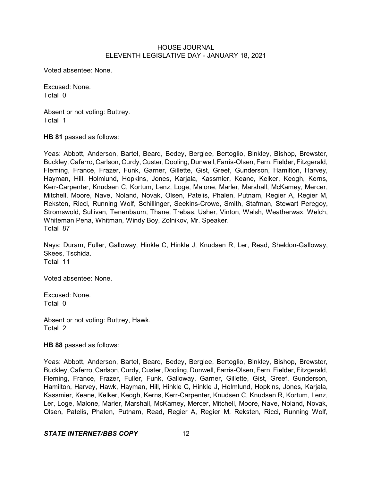Voted absentee: None.

Excused: None. Total 0

Absent or not voting: Buttrey. Total 1

**HB 81** passed as follows:

Yeas: Abbott, Anderson, Bartel, Beard, Bedey, Berglee, Bertoglio, Binkley, Bishop, Brewster, Buckley, Caferro, Carlson, Curdy, Custer, Dooling, Dunwell, Farris-Olsen, Fern, Fielder, Fitzgerald, Fleming, France, Frazer, Funk, Garner, Gillette, Gist, Greef, Gunderson, Hamilton, Harvey, Hayman, Hill, Holmlund, Hopkins, Jones, Karjala, Kassmier, Keane, Kelker, Keogh, Kerns, Kerr-Carpenter, Knudsen C, Kortum, Lenz, Loge, Malone, Marler, Marshall, McKamey, Mercer, Mitchell, Moore, Nave, Noland, Novak, Olsen, Patelis, Phalen, Putnam, Regier A, Regier M, Reksten, Ricci, Running Wolf, Schillinger, Seekins-Crowe, Smith, Stafman, Stewart Peregoy, Stromswold, Sullivan, Tenenbaum, Thane, Trebas, Usher, Vinton, Walsh, Weatherwax, Welch, Whiteman Pena, Whitman, Windy Boy, Zolnikov, Mr. Speaker. Total 87

Nays: Duram, Fuller, Galloway, Hinkle C, Hinkle J, Knudsen R, Ler, Read, Sheldon-Galloway, Skees, Tschida. Total 11

Voted absentee: None.

Excused: None. Total 0

Absent or not voting: Buttrey, Hawk. Total 2

#### **HB 88** passed as follows:

Yeas: Abbott, Anderson, Bartel, Beard, Bedey, Berglee, Bertoglio, Binkley, Bishop, Brewster, Buckley, Caferro, Carlson, Curdy, Custer, Dooling, Dunwell, Farris-Olsen, Fern, Fielder, Fitzgerald, Fleming, France, Frazer, Fuller, Funk, Galloway, Garner, Gillette, Gist, Greef, Gunderson, Hamilton, Harvey, Hawk, Hayman, Hill, Hinkle C, Hinkle J, Holmlund, Hopkins, Jones, Karjala, Kassmier, Keane, Kelker, Keogh, Kerns, Kerr-Carpenter, Knudsen C, Knudsen R, Kortum, Lenz, Ler, Loge, Malone, Marler, Marshall, McKamey, Mercer, Mitchell, Moore, Nave, Noland, Novak, Olsen, Patelis, Phalen, Putnam, Read, Regier A, Regier M, Reksten, Ricci, Running Wolf,